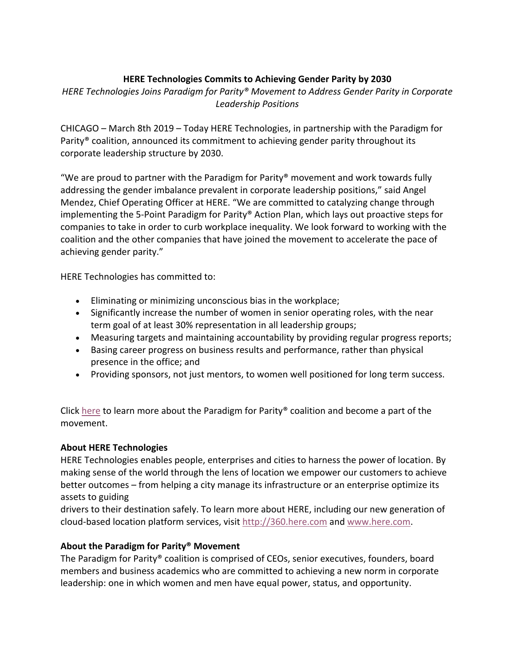## **HERE Technologies Commits to Achieving Gender Parity by 2030**

*HERE Technologies Joins Paradigm for Parity® Movement to Address Gender Parity in Corporate Leadership Positions*

CHICAGO – March 8th 2019 – Today HERE Technologies, in partnership with the Paradigm for Parity® coalition, announced its commitment to achieving gender parity throughout its corporate leadership structure by 2030.

"We are proud to partner with the Paradigm for Parity<sup>®</sup> movement and work towards fully addressing the gender imbalance prevalent in corporate leadership positions," said Angel Mendez, Chief Operating Officer at HERE. "We are committed to catalyzing change through implementing the 5-Point Paradigm for Parity® Action Plan, which lays out proactive steps for companies to take in order to curb workplace inequality. We look forward to working with the coalition and the other companies that have joined the movement to accelerate the pace of achieving gender parity."

HERE Technologies has committed to:

- Eliminating or minimizing unconscious bias in the workplace;
- Significantly increase the number of women in senior operating roles, with the near term goal of at least 30% representation in all leadership groups;
- Measuring targets and maintaining accountability by providing regular progress reports;
- Basing career progress on business results and performance, rather than physical presence in the office; and
- Providing sponsors, not just mentors, to women well positioned for long term success.

Click here to learn more about the Paradigm for Parity® coalition and become a part of the movement.

## **About HERE Technologies**

HERE Technologies enables people, enterprises and cities to harness the power of location. By making sense of the world through the lens of location we empower our customers to achieve better outcomes – from helping a city manage its infrastructure or an enterprise optimize its assets to guiding

drivers to their destination safely. To learn more about HERE, including our new generation of cloud-based location platform services, visit http://360.here.com and www.here.com.

## **About the Paradigm for Parity® Movement**

The Paradigm for Parity® coalition is comprised of CEOs, senior executives, founders, board members and business academics who are committed to achieving a new norm in corporate leadership: one in which women and men have equal power, status, and opportunity.